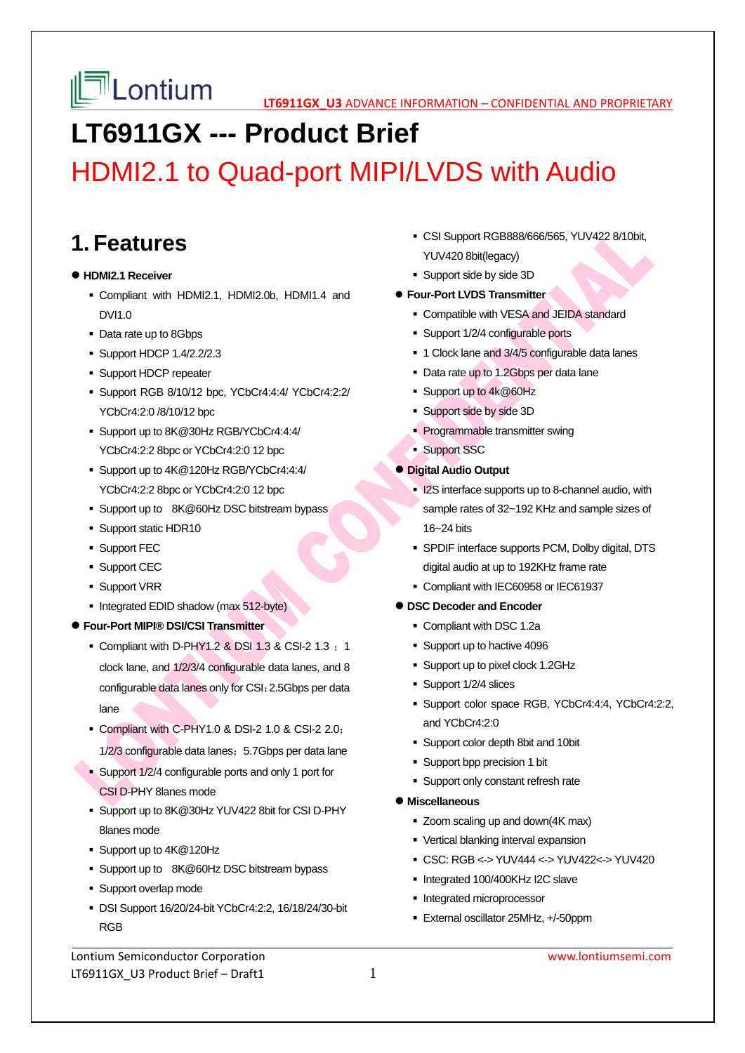

# **LT6911GX --- Product Brief**

# HDMI2.1 to Quad-port MIPI/LVDS with Audio

## **1. Features**

## **HDMI2.1 Receiver**

- Compliant with HDMI2.1, HDMI2.0b, HDMI1.4 and DVI1.0
- Data rate up to 8Gbps
- **Support HDCP 1.4/2.2/2.3**
- **Support HDCP repeater**
- Support RGB 8/10/12 bpc, YCbCr4:4:4/ YCbCr4:2:2/ YCbCr4:2:0 /8/10/12 bpc
- Support up to 8K@30Hz RGB/YCbCr4:4:4/ YCbCr4:2:2 8bpc or YCbCr4:2:0 12 bpc
- Support up to 4K@120Hz RGB/YCbCr4:4:4/ YCbCr4:2:2 8bpc or YCbCr4:2:0 12 bpc
- Support up to 8K@60Hz DSC bitstream bypass
- Support static HDR10
- **Support FEC**
- **Support CEC**
- **Support VRR**
- Integrated EDID shadow (max 512-byte)
- **Four-Port MIPI® DSI/CSI Transmitter** 
	- $\bullet$  Compliant with D-PHY1.2 & DSI 1.3 & CSI-2 1.3  $\,$  1 clock lane, and 1/2/3/4 configurable data lanes, and 8 configurable data lanes only for CSI;2.5Gbps per data lane
	- Compliant with C-PHY1.0 & DSI-2 1.0 & CSI-2 2.0; 1/2/3 configurable data lanes; 5.7Gbps per data lane
	- Support 1/2/4 configurable ports and only 1 port for CSI D-PHY 8lanes mode
	- Support up to 8K@30Hz YUV422 8bit for CSI D-PHY 8lanes mode
	- Support up to  $4K@120Hz$
	- Support up to 8K@60Hz DSC bitstream bypass
	- **Support overlap mode**
	- DSI Support 16/20/24-bit YCbCr4:2:2, 16/18/24/30-bit RGB

Lontium Semiconductor Corporation www.lontiumsemi.com LT6911GX U3 Product Brief – Draft1  $1$ 

- CSI Support RGB888/666/565, YUV422 8/10bit, YUV420 8bit(legacy)
- Support side by side 3D

#### **Four-Port LVDS Transmitter**

- Compatible with VESA and JEIDA standard
- Support 1/2/4 configurable ports
- 1 Clock lane and 3/4/5 configurable data lanes
- Data rate up to 1.2Gbps per data lane
- Support up to 4k@60Hz
- Support side by side 3D
- **Programmable transmitter swing**
- **Support SSC**

#### **Digital Audio Output**

- **I2S interface supports up to 8-channel audio, with** sample rates of 32~192 KHz and sample sizes of 16~24 bits
- SPDIF interface supports PCM, Dolby digital, DTS digital audio at up to 192KHz frame rate
- Compliant with IEC60958 or IEC61937

## **DSC Decoder and Encoder**

- Compliant with DSC 1.2a
- Support up to hactive 4096
- Support up to pixel clock 1.2GHz
- Support 1/2/4 slices
- Support color space RGB, YCbCr4:4:4, YCbCr4:2:2, and YCbCr4:2:0
- Support color depth 8bit and 10bit
- Support bpp precision 1 bit
- **Support only constant refresh rate**

#### **Miscellaneous**

- Zoom scaling up and down(4K max)
- **Vertical blanking interval expansion**
- CSC: RGB <-> YUV444 <-> YUV422<-> YUV420
- Integrated 100/400KHz I2C slave
- **Integrated microprocessor**
- External oscillator 25MHz, +/-50ppm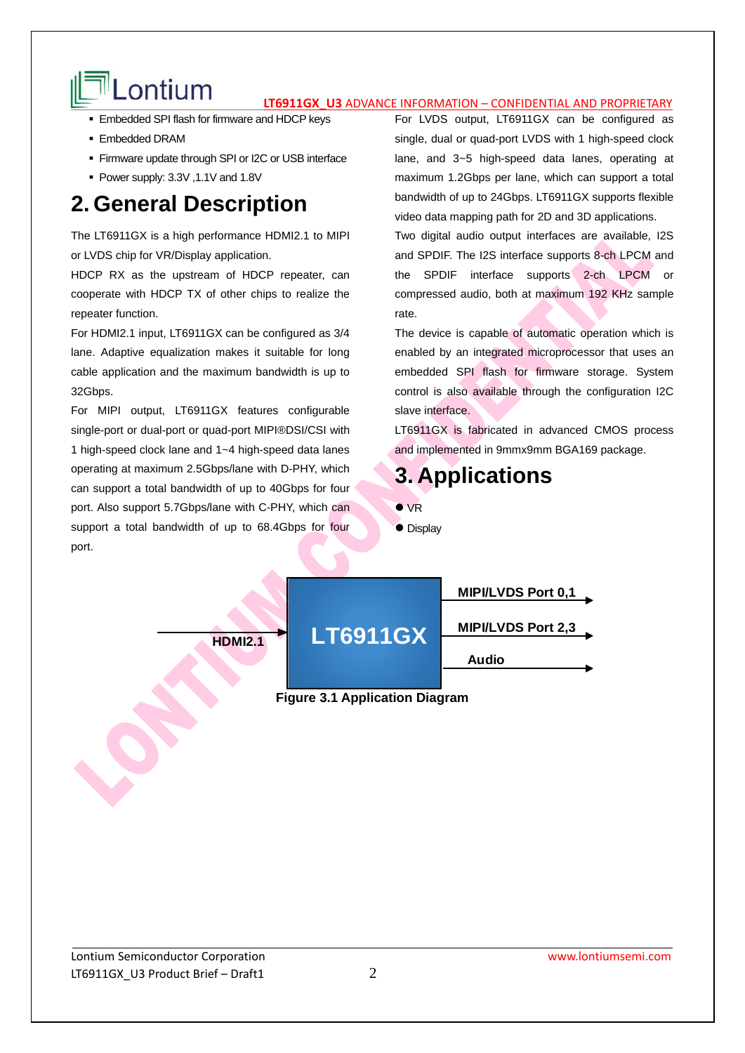# Lontium **IT6911GX U3** ADVANCE INFORMATION – CONFIDENTIAL AND PROPRIETARY

- **Embedded SPI flash for firmware and HDCP keys**
- Embedded DRAM
- **Firmware update through SPI or I2C or USB interface**
- Power supply: 3.3V ,1.1V and 1.8V

## **2. General Description**

The LT6911GX is a high performance HDMI2.1 to MIPI or LVDS chip for VR/Display application.

HDCP RX as the upstream of HDCP repeater, can cooperate with HDCP TX of other chips to realize the repeater function.

For HDMI2.1 input, LT6911GX can be configured as 3/4 lane. Adaptive equalization makes it suitable for long cable application and the maximum bandwidth is up to 32Gbps.

For MIPI output, LT6911GX features configurable single-port or dual-port or quad-port MIPI®DSI/CSI with 1 high-speed clock lane and 1~4 high-speed data lanes operating at maximum 2.5Gbps/lane with D-PHY, which can support a total bandwidth of up to 40Gbps for four port. Also support 5.7Gbps/lane with C-PHY, which can support a total bandwidth of up to 68.4Gbps for four port.

For LVDS output, LT6911GX can be configured as single, dual or quad-port LVDS with 1 high-speed clock lane, and 3~5 high-speed data lanes, operating at maximum 1.2Gbps per lane, which can support a total bandwidth of up to 24Gbps. LT6911GX supports flexible video data mapping path for 2D and 3D applications.

Two digital audio output interfaces are available, I2S and SPDIF. The I2S interface supports 8-ch LPCM and the SPDIF interface supports 2-ch LPCM or compressed audio, both at maximum 192 KHz sample rate.

The device is capable of automatic operation which is enabled by an integrated microprocessor that uses an embedded SPI flash for firmware storage. System control is also available through the configuration I2C slave interface.

LT6911GX is fabricated in advanced CMOS process and implemented in 9mmx9mm BGA169 package.

## **3. Applications**

- VR
- Display

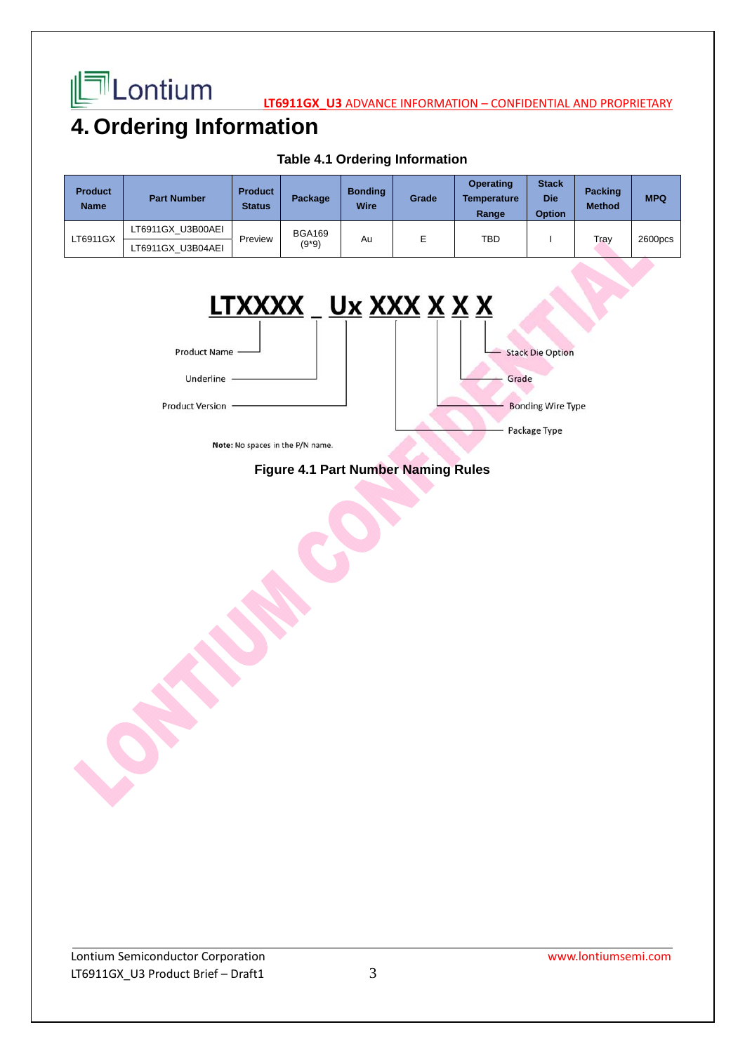

**LATE LONIUM LEAD ADVANCE INFORMATION – CONFIDENTIAL AND PROPRIETARY** 

## **4. Ordering Information**

| <b>Product</b><br><b>Name</b> | <b>Part Number</b> | <b>Product</b><br><b>Status</b> | Package                  | <b>Bonding</b><br><b>Wire</b> | Grade | <b>Operating</b><br><b>Temperature</b><br>Range | <b>Stack</b><br><b>Die</b><br><b>Option</b> | <b>Packing</b><br><b>Method</b> | <b>MPQ</b>          |
|-------------------------------|--------------------|---------------------------------|--------------------------|-------------------------------|-------|-------------------------------------------------|---------------------------------------------|---------------------------------|---------------------|
| LT6911GX                      | LT6911GX U3B00AEI  | Preview                         | <b>BGA169</b><br>$(9*9)$ | Au                            |       | TBD                                             |                                             | Tray                            | 2600 <sub>DCS</sub> |
|                               | LT6911GX U3B04AEI  |                                 |                          |                               |       |                                                 |                                             |                                 |                     |

## **Table 4.1 Ordering Information**



Note: No spaces in the P/N name.

## **Figure 4.1 Part Number Naming Rules**